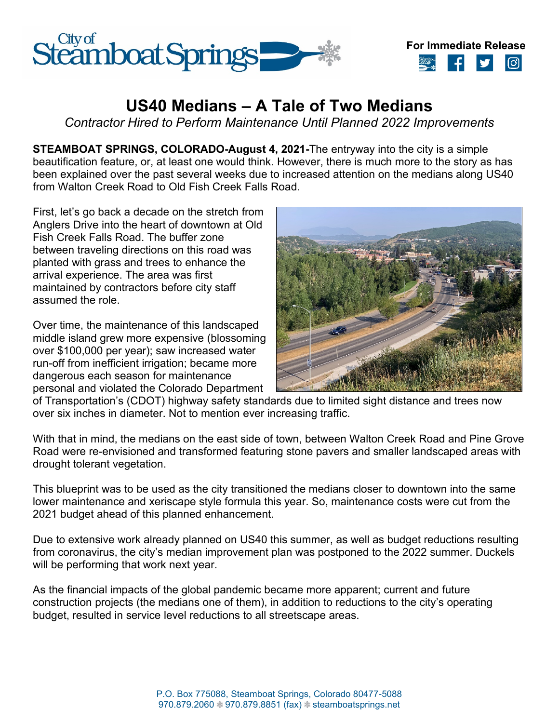



## **US40 Medians – A Tale of Two Medians**

*Contractor Hired to Perform Maintenance Until Planned 2022 Improvements*

**STEAMBOAT SPRINGS, COLORADO-August 4, 2021-**The entryway into the city is a simple beautification feature, or, at least one would think. However, there is much more to the story as has been explained over the past several weeks due to increased attention on the medians along US40 from Walton Creek Road to Old Fish Creek Falls Road.

First, let's go back a decade on the stretch from Anglers Drive into the heart of downtown at Old Fish Creek Falls Road. The buffer zone between traveling directions on this road was planted with grass and trees to enhance the arrival experience. The area was first maintained by contractors before city staff assumed the role.

Over time, the maintenance of this landscaped middle island grew more expensive (blossoming over \$100,000 per year); saw increased water run-off from inefficient irrigation; became more dangerous each season for maintenance personal and violated the Colorado Department



of Transportation's (CDOT) highway safety standards due to limited sight distance and trees now over six inches in diameter. Not to mention ever increasing traffic.

With that in mind, the medians on the east side of town, between Walton Creek Road and Pine Grove Road were re-envisioned and transformed featuring stone pavers and smaller landscaped areas with drought tolerant vegetation.

This blueprint was to be used as the city transitioned the medians closer to downtown into the same lower maintenance and xeriscape style formula this year. So, maintenance costs were cut from the 2021 budget ahead of this planned enhancement.

Due to extensive work already planned on US40 this summer, as well as budget reductions resulting from coronavirus, the city's median improvement plan was postponed to the 2022 summer. Duckels will be performing that work next year.

As the financial impacts of the global pandemic became more apparent; current and future construction projects (the medians one of them), in addition to reductions to the city's operating budget, resulted in service level reductions to all streetscape areas.